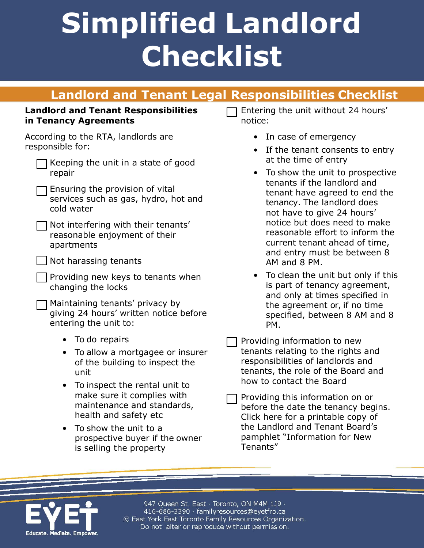# **Simplified Landlord Checklist**

### **Landlord and Tenant Legal Responsibilities Checklist**

#### **Landlord and Tenant Responsibilities in Tenancy Agreements**

According to the RTA, landlords are responsible for:

| $\Box$ Keeping the unit in a state of good |  |  |  |
|--------------------------------------------|--|--|--|
| repair                                     |  |  |  |

| $\Box$ Ensuring the provision of vital |  |  |  |  |
|----------------------------------------|--|--|--|--|
| services such as gas, hydro, hot and   |  |  |  |  |
| cold water                             |  |  |  |  |

| Not interfering with their tenants' |
|-------------------------------------|
| reasonable enjoyment of their       |
| apartments                          |

 $\Box$  Providing new keys to tenants when changing the locks

Maintaining tenants' privacy by giving 24 hours' written notice before entering the unit to:

- To do repairs
- To allow a mortgagee or insurer of the building to inspect the unit
- To inspect the rental unit to make sure it complies with maintenance and standards, health and safety etc
- To show the unit to a prospective buyer if the owner is selling the property

Entering the unit without 24 hours' notice:

- In case of emergency
- If the tenant consents to entry at the time of entry
- To show the unit to prospective tenants if the landlord and tenant have agreed to end the tenancy. The landlord does not have to give 24 hours' notice but does need to make reasonable effort to inform the current tenant ahead of time, and entry must be between 8 AM and 8 PM.
- To clean the unit but only if this is part of tenancy agreement, and only at times specified in the agreement or, if no time specified, between 8 AM and 8 PM.

Providing information to new tenants relating to the rights and responsibilities of landlords and tenants, the role of the Board and how to contact the Board

Providing this information on or before the date the tenancy begins. Click here for a printable copy of the Landlord and Tenant Board's pamphlet "Information for New Tenants"